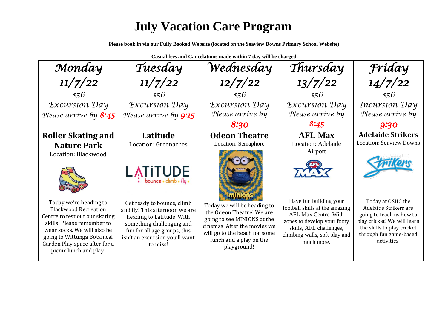## **July Vacation Care Program**

**Please book in via our Fully Booked Website (located on the Seaview Downs Primary School Website)**

**Casual fees and Cancelations made within 7 day will be charged.**

| Monday                                                                                                                                                                                                                                         | Tuesday                                                                                                                                                                                              | Wednesday                                                                                                                                                                                          | Thursday                                                                                                                                                                                  | Fríday                                                                                                                                                                       |
|------------------------------------------------------------------------------------------------------------------------------------------------------------------------------------------------------------------------------------------------|------------------------------------------------------------------------------------------------------------------------------------------------------------------------------------------------------|----------------------------------------------------------------------------------------------------------------------------------------------------------------------------------------------------|-------------------------------------------------------------------------------------------------------------------------------------------------------------------------------------------|------------------------------------------------------------------------------------------------------------------------------------------------------------------------------|
| 11/7/22                                                                                                                                                                                                                                        | 11/7/22                                                                                                                                                                                              | 12/7/22                                                                                                                                                                                            | 13/7/22                                                                                                                                                                                   | 14/7/22                                                                                                                                                                      |
| \$56                                                                                                                                                                                                                                           | \$56                                                                                                                                                                                                 | \$56                                                                                                                                                                                               | \$56                                                                                                                                                                                      | \$56                                                                                                                                                                         |
| <b>Excursion Day</b>                                                                                                                                                                                                                           | <i>Excursion Day</i>                                                                                                                                                                                 | <b>Excursion Day</b>                                                                                                                                                                               | <b>Excursion Day</b>                                                                                                                                                                      | <b>Incursion Day</b>                                                                                                                                                         |
| Please arrive by 8:45                                                                                                                                                                                                                          | Please arrive by 9:15                                                                                                                                                                                | Please arrive by                                                                                                                                                                                   | Please arrive by                                                                                                                                                                          | Please arrive by                                                                                                                                                             |
|                                                                                                                                                                                                                                                |                                                                                                                                                                                                      | 8:30                                                                                                                                                                                               | 8:45                                                                                                                                                                                      | 9:30                                                                                                                                                                         |
| <b>Roller Skating and</b>                                                                                                                                                                                                                      | Latitude                                                                                                                                                                                             | <b>Odeon Theatre</b>                                                                                                                                                                               | <b>AFL Max</b>                                                                                                                                                                            | <b>Adelaide Strikers</b>                                                                                                                                                     |
| <b>Nature Park</b>                                                                                                                                                                                                                             | Location: Greenaches                                                                                                                                                                                 | Location: Semaphore                                                                                                                                                                                | Location: Adelaide                                                                                                                                                                        | <b>Location: Seaview Downs</b>                                                                                                                                               |
| Location: Blackwood                                                                                                                                                                                                                            | $L$ $\overline{N}$ $\overline{I}$ $\overline{U}$ $\overline{U}$ $\overline{D}$ $\overline{E}$                                                                                                        |                                                                                                                                                                                                    | Airport<br>TA ATA                                                                                                                                                                         |                                                                                                                                                                              |
| Today we're heading to<br><b>Blackwood Recreation</b><br>Centre to test out our skating<br>skills! Please remember to<br>wear socks. We will also be<br>going to Wittunga Botanical<br>Garden Play space after for a<br>picnic lunch and play. | Get ready to bounce, climb<br>and fly! This afternoon we are<br>heading to Latitude. With<br>something challenging and<br>fun for all age groups, this<br>isn't an excursion you'll want<br>to miss! | Today we will be heading to<br>the Odeon Theatre! We are<br>going to see MINIONS at the<br>cinemas. After the movies we<br>will go to the beach for some<br>lunch and a play on the<br>playground! | Have fun building your<br>football skills at the amazing<br>AFL Max Centre. With<br>zones to develop your footy<br>skills, AFL challenges,<br>climbing walls, soft play and<br>much more. | Today at OSHC the<br>Adelaide Strikers are<br>going to teach us how to<br>play cricket! We will learn<br>the skills to play cricket<br>through fun game-based<br>activities. |